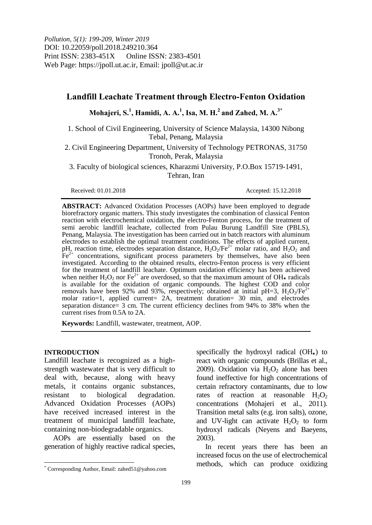# **Landfill Leachate Treatment through Electro-Fenton Oxidation**

## **Mohajeri, S. 1 , Hamidi, A. A. 1 , Isa, M. H. 2 and Zahed, M. A. 3\***

1. School of Civil Engineering, University of Science Malaysia, 14300 Nibong Tebal, Penang, Malaysia

2. Civil Engineering Department, University of Technology PETRONAS, 31750 Tronoh, Perak, Malaysia

3. Faculty of biological sciences, Kharazmi University, P.O.Box 15719-1491, Tehran, Iran

Received: 01.01.2018 Accepted: 15.12.2018

**ABSTRACT:** Advanced Oxidation Processes (AOPs) have been employed to degrade biorefractory organic matters. This study investigates the combination of classical Fenton reaction with electrochemical oxidation, the electro-Fenton process, for the treatment of semi aerobic landfill leachate, collected from Pulau Burung Landfill Site (PBLS), Penang, Malaysia. The investigation has been carried out in batch reactors with aluminum electrodes to establish the optimal treatment conditions. The effects of applied current, pH, reaction time, electrodes separation distance,  $H_2O_2/Fe^{2+}$  molar ratio, and  $H_2O_2$  and  $Fe<sup>2+</sup>$  concentrations, significant process parameters by themselves, have also been investigated. According to the obtained results, electro-Fenton process is very efficient for the treatment of landfill leachate. Optimum oxidation efficiency has been achieved when neither  $H_2O_2$  nor Fe<sup>2+</sup> are overdosed, so that the maximum amount of OH. radicals is available for the oxidation of organic compounds. The highest COD and color removals have been 92% and 93%, respectively; obtained at initial pH=3,  $H_2O_2/Fe^{2+}$ molar ratio=1, applied current= 2A, treatment duration= 30 min, and electrodes separation distance= 3 cm. The current efficiency declines from 94% to 38% when the current rises from 0.5A to 2A.

**Keywords:** Landfill, wastewater, treatment, AOP.

### **INTRODUCTION**

 $\overline{a}$ 

Landfill leachate is recognized as a highstrength wastewater that is very difficult to deal with, because, along with heavy metals, it contains organic substances, resistant to biological degradation. Advanced Oxidation Processes (AOPs) have received increased interest in the treatment of municipal landfill leachate, containing non-biodegradable organics.

AOPs are essentially based on the generation of highly reactive radical species,

specifically the hydroxyl radical  $(OH_{\bullet})$  to react with organic compounds (Brillas et al., 2009). Oxidation via  $H_2O_2$  alone has been found ineffective for high concentrations of certain refractory contaminants, due to low rates of reaction at reasonable  $H_2O_2$ concentrations (Mohajeri et al., 2011). Transition metal salts (e.g. iron salts), ozone, and UV-light can activate  $H_2O_2$  to form hydroxyl radicals (Neyens and Baeyens, 2003).

In recent years there has been an increased focus on the use of electrochemical methods, which can produce oxidizing

<sup>\*</sup> Corresponding Author, Email: zahed51@yahoo.com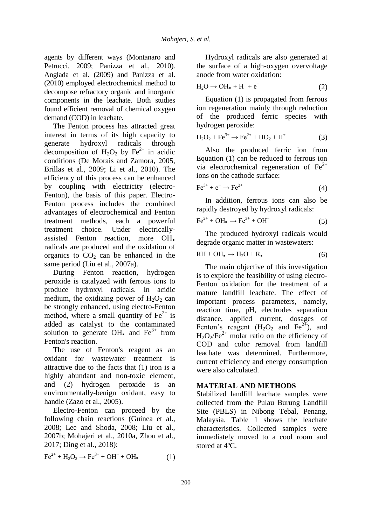agents by different ways (Montanaro and Petrucci, 2009; Panizza et al., 2010). Anglada et al. (2009) and Panizza et al. (2010) employed electrochemical method to decompose refractory organic and inorganic components in the leachate. Both studies found efficient removal of chemical oxygen demand (COD) in leachate.

The Fenton process has attracted great interest in terms of its high capacity to generate hydroxyl radicals through decomposition of  $H_2O_2$  by Fe<sup>2+</sup> in acidic conditions (De Morais and Zamora, 2005, Brillas et al., 2009; Li et al., 2010). The efficiency of this process can be enhanced by coupling with electricity (electro-Fenton), the basis of this paper. Electro-Fenton process includes the combined advantages of electrochemical and Fenton treatment methods, each a powerful treatment choice. Under electricallyassisted Fenton reaction, more OH radicals are produced and the oxidation of organics to  $CO<sub>2</sub>$  can be enhanced in the same period (Liu et al., 2007a).

During Fenton reaction, hydrogen peroxide is catalyzed with ferrous ions to produce hydroxyl radicals. In acidic medium, the oxidizing power of  $H_2O_2$  can be strongly enhanced, using electro-Fenton method, where a small quantity of  $Fe<sup>2+</sup>$  is added as catalyst to the contaminated solution to generate OH<sub>n</sub> and  $Fe^{3+}$  from Fenton's reaction.

The use of Fenton's reagent as an oxidant for wastewater treatment is attractive due to the facts that (1) iron is a highly abundant and non-toxic element, and (2) hydrogen peroxide is an environmentally-benign oxidant, easy to handle (Zazo et al., 2005).

Electro-Fenton can proceed by the following chain reactions (Guinea et al., 2008; Lee and Shoda, 2008; Liu et al., 2007b; Mohajeri et al., 2010a, Zhou et al., 2017; Ding et al., 2018):

$$
\text{Fe}^{2+} + \text{H}_2\text{O}_2 \longrightarrow \text{Fe}^{3+} + \text{OH}^- + \text{OH} \tag{1}
$$

Hydroxyl radicals are also generated at the surface of a high-oxygen overvoltage anode from water oxidation:

$$
H_2O \to OH_{\bullet} + H^+ + e^-
$$
 (2)

Equation (1) is propagated from ferrous ion regeneration mainly through reduction of the produced ferric species with hydrogen peroxide:

$$
H_2O_2 + Fe^{3+} \to Fe^{2+} + HO_2 + H^+ \tag{3}
$$

Also the produced ferric ion from Equation (1) can be reduced to ferrous ion via electrochemical regeneration of  $Fe<sup>2+</sup>$ ions on the cathode surface:

$$
\text{Fe}^{3+} + \text{e}^- \rightarrow \text{Fe}^{2+} \tag{4}
$$

In addition, ferrous ions can also be rapidly destroyed by hydroxyl radicals:

$$
\text{Fe}^{2+} + \text{OH} \rightarrow \text{Fe}^{3+} + \text{OH}^- \tag{5}
$$

The produced hydroxyl radicals would degrade organic matter in wastewaters:

$$
RH + OH_{\bullet} \to H_2O + R_{\bullet}
$$
 (6)

The main objective of this investigation is to explore the feasibility of using electro-Fenton oxidation for the treatment of a mature landfill leachate. The effect of important process parameters, namely, reaction time, pH, electrodes separation distance, applied current, dosages of Fenton's reagent  $(H_2O_2$  and  $Fe^{2+}$ ), and  $H_2O_2/Fe^{2+}$  molar ratio on the efficiency of COD and color removal from landfill leachate was determined. Furthermore, current efficiency and energy consumption were also calculated.

## **MATERIAL AND METHODS**

Stabilized landfill leachate samples were collected from the Pulau Burung Landfill Site (PBLS) in Nibong Tebal, Penang, Malaysia. Table 1 shows the leachate characteristics. Collected samples were immediately moved to a cool room and stored at 4ºC.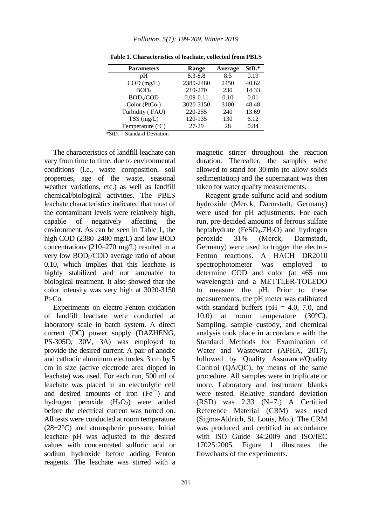| <b>Parameters</b>     | Range         | Average | StD.* |
|-----------------------|---------------|---------|-------|
| pH                    | $8.3 - 8.8$   | 8.5     | 0.19  |
| $COD$ (mg/L)          | 2380-2480     | 2450    | 40.62 |
| BOD <sub>5</sub>      | 210-270       | 230     | 14.33 |
| BOD <sub>5</sub> /COD | $0.09 - 0.11$ | 0.10    | 0.01  |
| Color (PtCo.)         | 3020-3150     | 3100    | 48.48 |
| Turbidity (FAU)       | 220-255       | 240     | 13.69 |
| $TSS$ (mg/L)          | 120-135       | 130     | 6.12  |
| Temperature (°C)      | 27-29         | 28      | 0.84  |

**Table 1. Characteristics of leachate, collected from PBLS**

 $*StD. = Standard Deviation$ 

The characteristics of landfill leachate can vary from time to time, due to environmental conditions (i.e., waste composition, soil properties, age of the waste, seasonal weather variations, etc.) as well as landfill chemical/biological activities. The PBLS leachate characteristics indicated that most of the contaminant levels were relatively high, capable of negatively affecting the environment. As can be seen in Table 1, the high COD (2380–2480 mg/L) and low BOD concentrations (210–270 mg/L) resulted in a very low BOD5/COD average ratio of about 0.10, which implies that this leachate is highly stabilized and not amenable to biological treatment. It also showed that the color intensity was very high at 3020-3150  $Pt$ -Co.

Experiments on electro-Fenton oxidation of landfill leachate were conducted at laboratory scale in batch system. A direct current (DC) power supply (DAZHENG, PS-305D, 30V, 3A) was employed to provide the desired current. A pair of anodic and cathodic aluminum electrodes, 3 cm by 5 cm in size (active electrode area dipped in leachate) was used. For each run, 500 ml of leachate was placed in an electrolytic cell and desired amounts of iron  $(Fe<sup>2+</sup>)$  and hydrogen peroxide  $(H_2O_2)$  were added before the electrical current was turned on. All tests were conducted at room temperature  $(28\pm2\degree C)$  and atmospheric pressure. Initial leachate pH was adjusted to the desired values with concentrated sulfuric acid or sodium hydroxide before adding Fenton reagents. The leachate was stirred with a

magnetic stirrer throughout the reaction duration. Thereafter, the samples were allowed to stand for 30 min (to allow solids sedimentation) and the supernatant was then taken for water quality measurements.

Reagent grade sulfuric acid and sodium hydroxide (Merck, Darmstadt, Germany) were used for pH adjustments. For each run, pre-decided amounts of ferrous sulfate heptahydrate ( $FeSO<sub>4</sub>$ .7H<sub>2</sub>O) and hydrogen peroxide 31% (Merck, Darmstadt, Germany) were used to trigger the electro-Fenton reactions. A HACH DR2010 spectrophotometer was employed to determine COD and color (at 465 nm wavelength) and a METTLER-TOLEDO to measure the pH. Prior to these measurements, the pH meter was calibrated with standard buffers ( $pH = 4.0$ , 7.0, and 10.0) at room temperature (30°C). Sampling, sample custody, and chemical analysis took place in accordance with the Standard Methods for Examination of Water and Wastewater (APHA, 2017), followed by Quality Assurance/Quality Control (QA/QC), by means of the same procedure. All samples were in triplicate or more. Laboratory and instrument blanks were tested. Relative standard deviation (RSD) was 2.33 (N=7.) A Certified Reference Material (CRM) was used (Sigma-Aldrich, St. Louis, Mo.). The CRM was produced and certified in accordance with ISO Guide 34:2009 and ISO/IEC 17025:2005. Figure 1 illustrates the flowcharts of the experiments.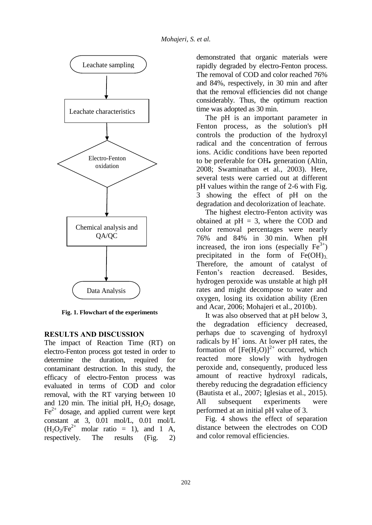

**Fig. 1. Flowchart of the experiments**

### **RESULTS AND DISCUSSION**

The impact of Reaction Time (RT) on electro-Fenton process got tested in order to determine the duration, required for contaminant destruction. In this study, the efficacy of electro-Fenton process was evaluated in terms of COD and color removal, with the RT varying between 10 and 120 min. The initial pH,  $H<sub>2</sub>O<sub>2</sub>$  dosage,  $Fe<sup>2+</sup>$  dosage, and applied current were kept constant at 3, 0.01 mol/L, 0.01 mol/L  $(H_2O_2/Fe^{2+} \text{ molar ratio} = 1)$ , and 1 A, respectively. The results (Fig. 2)

demonstrated that organic materials were rapidly degraded by electro-Fenton process. The removal of COD and color reached 76% and 84%, respectively, in 30 min and after that the removal efficiencies did not change considerably. Thus, the optimum reaction time was adopted as 30 min.

The pH is an important parameter in Fenton process, as the solution's pH controls the production of the hydroxyl radical and the concentration of ferrous ions. Acidic conditions have been reported to be preferable for OH<sub>1</sub> generation (Altin, 2008; Swaminathan et al., 2003). Here, several tests were carried out at different pH values within the range of 2-6 with Fig. 3 showing the effect of pH on the degradation and decolorization of leachate.

The highest electro-Fenton activity was obtained at  $pH = 3$ , where the COD and color removal percentages were nearly 76% and 84% in 30 min. When pH increased, the iron ions (especially  $Fe<sup>3+</sup>$ ) precipitated in the form of  $Fe(OH)_3$ . Therefore, the amount of catalyst of Fenton's reaction decreased. Besides, hydrogen peroxide was unstable at high pH rates and might decompose to water and oxygen, losing its oxidation ability (Eren and Acar, 2006; Mohajeri et al., 2010b).

It was also observed that at pH below 3, the degradation efficiency decreased, perhaps due to scavenging of hydroxyl radicals by  $H^+$  ions. At lower pH rates, the formation of  $[Fe(H<sub>2</sub>O)]<sup>2+</sup>$  occurred, which reacted more slowly with hydrogen peroxide and, consequently, produced less amount of reactive hydroxyl radicals, thereby reducing the degradation efficiency (Bautista et al., 2007; Iglesias et al., 2015). All subsequent experiments were performed at an initial pH value of 3.

Fig. 4 shows the effect of separation distance between the electrodes on COD and color removal efficiencies.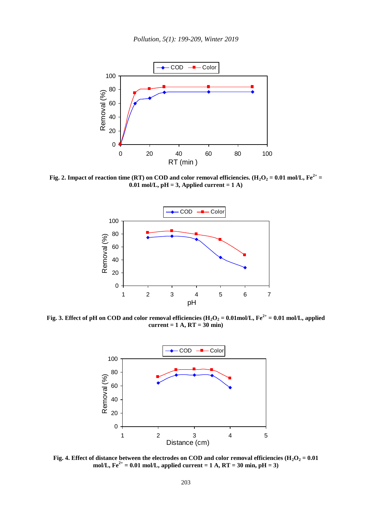

**Fig.** 2. Impact of reaction time (RT) on COD and color removal efficiencies. (H<sub>2</sub>O<sub>2</sub> = 0.01 mol/L, Fe<sup>2+</sup> = **0.01 mol/L,**  $pH = 3$ **, Applied current**  $= 1$  A)



**Fig. 3.** Effect of pH on COD and color removal efficiencies  $(H_2O_2 = 0.01 \text{ mol/L}, F e^{2+} = 0.01 \text{ mol/L},$  applied **current = 1 A, RT = 30 min)**



**Fig.** 4. Effect of distance between the electrodes on COD and color removal efficiencies ( $H_2O_2 = 0.01$ mol/L,  $Fe^{2+} = 0.01$  mol/L, applied current  $= 1$  A,  $RT = 30$  min,  $pH = 3$ )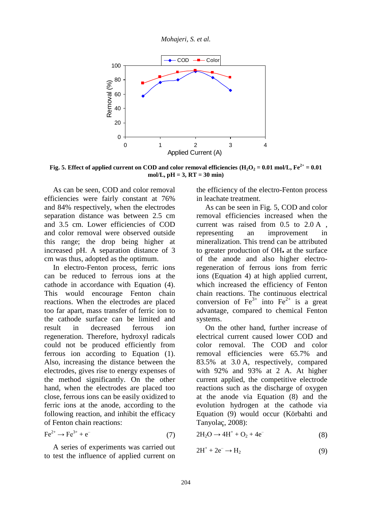*Mohajeri, S. et al.*



**Fig.** 5. Effect of applied current on COD and color removal efficiencies  $(H_2O_2 = 0.01 \text{ mol/L}, Fe^{2+} = 0.01$ **mol/L, pH = 3, RT = 30 min)**

As can be seen, COD and color removal efficiencies were fairly constant at 76% and 84% respectively, when the electrodes separation distance was between 2.5 cm and 3.5 cm. Lower efficiencies of COD and color removal were observed outside this range; the drop being higher at increased pH. A separation distance of 3 cm was thus, adopted as the optimum.

In electro-Fenton process, ferric ions can be reduced to ferrous ions at the cathode in accordance with Equation (4). This would encourage Fenton chain reactions. When the electrodes are placed too far apart, mass transfer of ferric ion to the cathode surface can be limited and result in decreased ferrous ion regeneration. Therefore, hydroxyl radicals could not be produced efficiently from ferrous ion according to Equation (1). Also, increasing the distance between the electrodes, gives rise to energy expenses of the method significantly. On the other hand, when the electrodes are placed too close, ferrous ions can be easily oxidized to ferric ions at the anode, according to the following reaction, and inhibit the efficacy of Fenton chain reactions:

$$
\text{Fe}^{2+} \to \text{Fe}^{3+} + \text{e}^- \tag{7}
$$

A series of experiments was carried out to test the influence of applied current on the efficiency of the electro-Fenton process in leachate treatment.

As can be seen in Fig. 5, COD and color removal efficiencies increased when the current was raised from 0.5 to 2.0 A , representing an improvement in mineralization. This trend can be attributed to greater production of OH<sub> $\cdot$ </sub> at the surface of the anode and also higher electroregeneration of ferrous ions from ferric ions (Equation 4) at high applied current, which increased the efficiency of Fenton chain reactions. The continuous electrical conversion of  $Fe^{3+}$  into  $Fe^{2+}$  is a great advantage, compared to chemical Fenton systems.

On the other hand, further increase of electrical current caused lower COD and color removal. The COD and color removal efficiencies were 65.7% and 83.5% at 3.0 A, respectively, compared with 92% and 93% at 2 A. At higher current applied, the competitive electrode reactions such as the discharge of oxygen at the anode via Equation (8) and the evolution hydrogen at the cathode via Equation (9) would occur (Körbahti and Tanyolaç, 2008):

$$
2H_2O \rightarrow 4H^+ + O_2 + 4e^-
$$
 (8)

$$
2H^+ + 2e^- \rightarrow H_2 \tag{9}
$$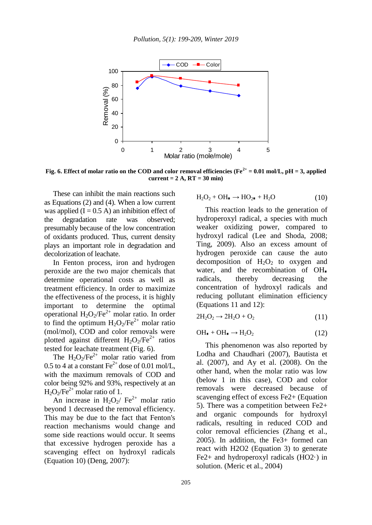

**Fig.** 6. Effect of molar ratio on the COD and color removal efficiencies ( $Fe^{2+} = 0.01$  mol/L,  $pH = 3$ , applied **current = 2 A, RT = 30 min)**

These can inhibit the main reactions such as Equations (2) and (4). When a low current was applied  $(I = 0.5 A)$  an inhibition effect of the degradation rate was observed; presumably because of the low concentration of oxidants produced. Thus, current density plays an important role in degradation and decolorization of leachate.

In Fenton process, iron and hydrogen peroxide are the two major chemicals that determine operational costs as well as treatment efficiency. In order to maximize the effectiveness of the process, it is highly important to determine the optimal operational  $H_2O_2/Fe^{2+}$  molar ratio. In order to find the optimum  $H_2O_2/Fe^{2+}$  molar ratio (mol/mol), COD and color removals were plotted against different  $H_2O_2/Fe^{2+}$  ratios tested for leachate treatment (Fig. 6).

The  $H_2O_2/Fe^{2+}$  molar ratio varied from 0.5 to 4 at a constant  $\text{Fe}^{2+}$  dose of 0.01 mol/L, with the maximum removals of COD and color being 92% and 93%, respectively at an  $H_2O_2/Fe^{2+}$  molar ratio of 1.

An increase in H<sub>2</sub>O<sub>2</sub>/ Fe<sup>2+</sup> molar ratio beyond 1 decreased the removal efficiency. This may be due to the fact that Fenton's reaction mechanisms would change and some side reactions would occur. It seems that excessive hydrogen peroxide has a scavenging effect on hydroxyl radicals (Equation 10) (Deng, 2007):

$$
H_2O_2 + OH_{\bullet} \rightarrow HO_{2^{\bullet}} + H_2O \tag{10}
$$

This reaction leads to the generation of hydroperoxyl radical, a species with much weaker oxidizing power, compared to hydroxyl radical (Lee and Shoda, 2008; Ting, 2009). Also an excess amount of hydrogen peroxide can cause the auto decomposition of  $H_2O_2$  to oxygen and water, and the recombination of OH. radicals, thereby decreasing the concentration of hydroxyl radicals and reducing pollutant elimination efficiency (Equations 11 and 12):

$$
2H_2O_2 \rightarrow 2H_2O + O_2 \tag{11}
$$

$$
\text{OH}_{\bullet} + \text{OH}_{\bullet} \rightarrow \text{H}_{2}\text{O}_{2} \tag{12}
$$

This phenomenon was also reported by Lodha and Chaudhari (2007), Bautista et al. (2007), and Ay et al. (2008). On the other hand, when the molar ratio was low (below 1 in this case), COD and color removals were decreased because of scavenging effect of excess Fe2+ (Equation 5). There was a competition between Fe2+ and organic compounds for hydroxyl radicals, resulting in reduced COD and color removal efficiencies (Zhang et al., 2005). In addition, the Fe3+ formed can react with H2O2 (Equation 3) to generate Fe2+ and hydroperoxyl radicals  $(HO2<sup>.)</sup>$  in solution. (Meric et al., 2004)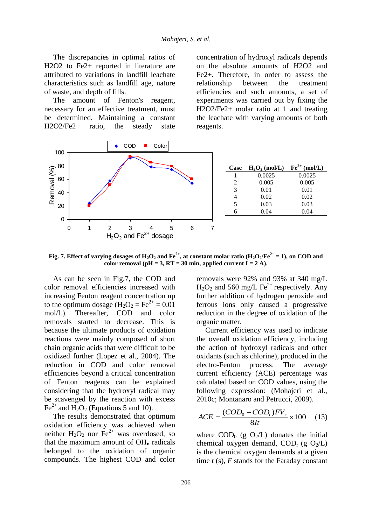The discrepancies in optimal ratios of H2O2 to Fe2+ reported in literature are attributed to variations in landfill leachate characteristics such as landfill age, nature of waste, and depth of fills.

The amount of Fenton's reagent, necessary for an effective treatment, must be determined. Maintaining a constant H2O2/Fe2+ ratio, the steady state concentration of hydroxyl radicals depends on the absolute amounts of H2O2 and Fe2+. Therefore, in order to assess the relationship between the treatment efficiencies and such amounts, a set of experiments was carried out by fixing the H2O2/Fe2+ molar ratio at 1 and treating the leachate with varying amounts of both reagents.



**Fig. 7.** Effect of varying dosages of  $H_2O_2$  and  $Fe^{2+}$ , at constant molar ratio  $(H_2O_2/Fe^{2+} = 1)$ , on COD and color removal ( $pH = 3$ ,  $RT = 30$  min, applied current  $I = 2$  A).

As can be seen in Fig.7, the COD and color removal efficiencies increased with increasing Fenton reagent concentration up to the optimum dosage  $(H_2O_2 = Fe^{2+} = 0.01$ mol/L). Thereafter, COD and color removals started to decrease. This is because the ultimate products of oxidation reactions were mainly composed of short chain organic acids that were difficult to be oxidized further (Lopez et al., 2004). The reduction in COD and color removal efficiencies beyond a critical concentration of Fenton reagents can be explained considering that the hydroxyl radical may be scavenged by the reaction with excess  $Fe<sup>2+</sup>$  and H<sub>2</sub>O<sub>2</sub> (Equations 5 and 10).

The results demonstrated that optimum oxidation efficiency was achieved when neither  $H_2O_2$  nor  $Fe^{2+}$  was overdosed, so that the maximum amount of OH<sub>\*</sub> radicals belonged to the oxidation of organic compounds. The highest COD and color

removals were 92% and 93% at 340 mg/L  $H_2O_2$  and 560 mg/L Fe<sup>2+</sup> respectively. Any further addition of hydrogen peroxide and ferrous ions only caused a progressive reduction in the degree of oxidation of the organic matter.

Current efficiency was used to indicate the overall oxidation efficiency, including the action of hydroxyl radicals and other oxidants (such as chlorine), produced in the electro-Fenton process. The average current efficiency (ACE) percentage was calculated based on COD values, using the following expression: (Mohajeri et al., 2010c; Montanaro and Petrucci, 2009).

$$
ACE = \frac{(COD_0 - COD_t)FV_s}{8It} \times 100 \quad (13)
$$

where  $\text{COD}_0$  (g  $\text{O}_2$ /L) donates the initial chemical oxygen demand,  $\text{COD}_t$  (g  $\text{O}_2$ /L) is the chemical oxygen demands at a given time *t* (s), *F* stands for the Faraday constant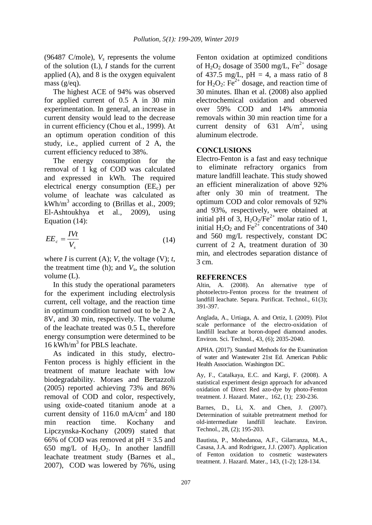(96487 C/mole), *V<sup>s</sup>* represents the volume of the solution (L), *I* stands for the current applied (A), and 8 is the oxygen equivalent mass (g/eq).

The highest ACE of 94% was observed for applied current of 0.5 A in 30 min experimentation. In general, an increase in current density would lead to the decrease in current efficiency (Chou et al., 1999). At an optimum operation condition of this study, i.e., applied current of 2 A, the current efficiency reduced to 38%.

The energy consumption for the removal of 1 kg of COD was calculated and expressed in kWh. The required electrical energy consumption  $(EE_c)$  per volume of leachate was calculated as kWh/m<sup>3</sup> according to (Brillas et al., 2009; El-Ashtoukhya et al., 2009), using Equation (14):

$$
EE_c = \frac{IVt}{V_s} \tag{14}
$$

where *I* is current (A); *V*, the voltage (V); *t*, the treatment time (h); and  $V_s$ , the solution volume (L).

In this study the operational parameters for the experiment including electrolysis current, cell voltage, and the reaction time in optimum condition turned out to be 2 A, 8V, and 30 min, respectively. The volume of the leachate treated was 0.5 L, therefore energy consumption were determined to be 16 kWh/m<sup>3</sup> for PBLS leachate.

As indicated in this study, electro-Fenton process is highly efficient in the treatment of mature leachate with low biodegradability. Moraes and Bertazzoli (2005) reported achieving 73% and 86% removal of COD and color, respectively, using oxide-coated titanium anode at a current density of 116.0 mA/cm<sup>2</sup> and 180 min reaction time. Kochany and Lipczynska-Kochany (2009) stated that 66% of COD was removed at  $pH = 3.5$  and 650 mg/L of  $H_2O_2$ . In another landfill leachate treatment study (Barnes et al., 2007), COD was lowered by 76%, using

Fenton oxidation at optimized conditions of H<sub>2</sub>O<sub>2</sub> dosage of 3500 mg/L, Fe<sup>2+</sup> dosage of 437.5 mg/L,  $pH = 4$ , a mass ratio of 8 for  $H_2O_2$ : Fe<sup>2+</sup> dosage, and reaction time of 30 minutes. Ilhan et al. (2008) also applied electrochemical oxidation and observed over 59% COD and 14% ammonia removals within 30 min reaction time for a current density of  $631 \text{ A/m}^2$ , using aluminum electrode.

### **CONCLUSIONS**

Electro-Fenton is a fast and easy technique to eliminate refractory organics from mature landfill leachate. This study showed an efficient mineralization of above 92% after only 30 min of treatment. The optimum COD and color removals of 92% and 93%, respectively, were obtained at initial pH of 3,  $H_2O_2/Fe^{2+}$  molar ratio of 1, initial  $H_2O_2$  and Fe<sup>2+</sup> concentrations of 340 and 560 mg/L respectively, constant DC current of 2 A, treatment duration of 30 min, and electrodes separation distance of 3 cm.

#### **REFERENCES**

Altin, A. (2008). An alternative type of photoelectro-Fenton process for the treatment of landfill leachate. Separa. Purificat. Technol., 61(3); 391-397.

Anglada, A., Urtiaga, A. and Ortiz, I. (2009). Pilot scale performance of the electro-oxidation of landfill leachate at boron-doped diamond anodes. Environ. Sci. Technol., 43, (6); 2035-2040.

APHA. (2017). Standard Methods for the Examination of water and Wastewater 21st Ed. American Public Health Association. Washington DC.

Ay, F., Catalkaya, E.C. and Kargi, F. (2008). A statistical experiment design approach for advanced oxidation of Direct Red azo-dye by photo-Fenton treatment. J. Hazard. Mater., 162, (1); 230-236.

Barnes, D., Li, X. and Chen, J. (2007). Determination of suitable pretreatment method for old-intermediate landfill leachate. Environ. Technol., 28, (2); 195-203.

Bautista, P., Mohedanoa, A.F., Gilarranza, M.A., Casasa, J.A. and Rodriguez, J.J. (2007). Application of Fenton oxidation to cosmetic wastewaters treatment. J. Hazard. Mater., 143, (1-2); 128-134.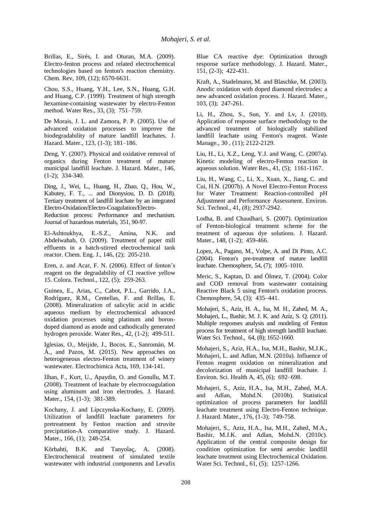Brillas, E., Sirés, I. and Oturan, M.A. (2009). Electro-fenton process and related electrochemical technologies based on fenton's reaction chemistry. Chem. Rev, 109, (12); 6570-6631.

Chou, S.S., Huang, Y.H., Lee, S.N., Huang, G.H. and Huang, C.P. (1999). Treatment of high strength hexamine-containing wastewater by electro-Fenton method. Water Res., 33, (3); 751–759.

De Morais, J. L. and Zamora, P. P. (2005). Use of advanced oxidation processes to improve the biodegradability of mature landfill leachates. J. Hazard. Mater., 123, (1-3); 181–186.

Deng, Y. (2007). Physical and oxidative removal of organics during Fenton treatment of mature municipal landfill leachate. J. Hazard. Mater., 146, (1-2); 334-340.

Ding, J., Wei, L., Huang, H., Zhao, Q., Hou, W., Kabutey, F. T., ... and Dionysiou, D. D. (2018). Tertiary treatment of landfill leachate by an integrated Electro-Oxidation/Electro-Coagulation/Electro-

Reduction process: Performance and mechanism. Journal of hazardous materials, 351, 90-97.

El-Ashtoukhya, E.-S.Z., Amina, N.K. and Abdelwahab, O. (2009). Treatment of paper mill effluents in a batch-stirred electrochemical tank reactor. Chem. Eng. J., 146, (2); 205-210.

Eren, z. and Acar, F. N. (2006). Effect of fenton's reagent on the degradability of CI reactive yellow 15. Colora. Technol., 122, (5); 259-263.

Guinea, E., Arias, C., Cabot, P.L., Garrido, J.A., Rodríguez, R.M., Centellas, F. and Brillas, E. (2008). Mineralization of salicylic acid in acidic aqueous medium by electrochemical advanced oxidation processes using platinum and borondoped diamond as anode and cathodically generated hydrogen peroxide. Water Res., 42, (1-2); 499-511.

Iglesias, O., Meijide, J., Bocos, E., Sanromán, M. Á., and Pazos, M. (2015). New approaches on heterogeneous electro-Fenton treatment of winery wastewater. Electrochimica Acta, 169, 134-141.

Ilhan, F., Kurt, U., Apaydin, O. and Gonullu, M.T. (2008). Treatment of leachate by electrocoagulation using aluminum and iron electrodes. J. Hazard. Mater., 154, (1-3); 381-389.

Kochany, J. and Lipczynska-Kochany, E. (2009). Utilization of landfill leachate parameters for pretreatment by Fenton reaction and struvite precipitation-A comparative study. J. Hazard. Mater., 166, (1); 248-254.

Körbahti, B.K. and Tanyolaç, A. (2008). Electrochemical treatment of simulated textile wastewater with industrial components and Levafix Blue CA reactive dye: Optimization through response surface methodology. J. Hazard. Mater., 151, (2-3); 422-431.

Kraft, A., Stadelmann, M. and Blaschke, M. (2003). Anodic oxidation with doped diamond electrodes: a new advanced oxidation process. J. Hazard. Mater., 103, (3); 247-261.

Li, H., Zhou, S., Sun, Y. and Lv, J. (2010). Application of response surface methodology to the advanced treatment of biologically stabilized landfill leachate using Fenton's reagent. Waste Manage., 30 , (11); 2122-2129.

Liu, H., Li, X.Z., Leng, Y.J. and Wang, C. (2007a). Kinetic modeling of electro-Fenton reaction in aqueous solution. Water Res., 41, (5); 1161-1167.

Liu, H., Wang, C., Li, X., Xuan, X., Jiang, C. and Cui, H.N. (2007b). A Novel Electro-Fenton Process for Water Treatment: Reaction-controlled pH Adjustment and Performance Assessment. Environ. Sci. Technol., 41, (8); 2937-2942.

Lodha, B. and Chaudhari, S. (2007). Optimization of Fenton-biological treatment scheme for the treatment of aqueous dye solutions. J. Hazard. Mater., 148, (1-2); 459-466.

Lopez, A., Pagano, M., Volpe, A. and Di Pinto, A.C. (2004). Fenton's pre-treatment of mature landfill leachate. Chemosphere, 54, (7); 1005–1010.

Meric, S., Kaptan, D. and Ölmez, T. (2004). Color and COD removal from wastewater containing Reactive Black 5 using Fenton's oxidation process. Chemosphere, 54, (3); 435–441.

Mohajeri, S., Aziz, H. A., Isa, M. H., Zahed, M. A., Mohajeri, L., Bashir, M. J. K. and Aziz, S. Q. (2011). Multiple responses analysis and modeling of Fenton process for treatment of high strength landfill leachate. Water Sci. Technol., 64, (8); 1652-1660.

Mohajeri, S., Aziz, H.A., Isa, M.H., Bashir, M.J.K., Mohajeri, L. and Adlan, M.N. (2010a). Influence of Fenton reagent oxidation on mineralization and decolorization of municipal landfill leachate. J. Environ. Sci. Health A, 45, (6); 692–698.

Mohajeri, S., Aziz, H.A., Isa, M.H., Zahed, M.A. and Adlan, Mohd.N. (2010b). Statistical optimization of process parameters for landfill leachate treatment using Electro-Fenton technique. J. Hazard. Mater., 176, (1-3); 749-758.

Mohajeri, S., Aziz, H.A., Isa, M.H., Zahed, M.A., Bashir, M.J.K. and Adlan, Mohd.N. (2010c). Application of the central composite design for condition optimization for semi aerobic landfill leachate treatment using Electrochemical Oxidation. Water Sci. Technol., 61, (5); 1257-1266.